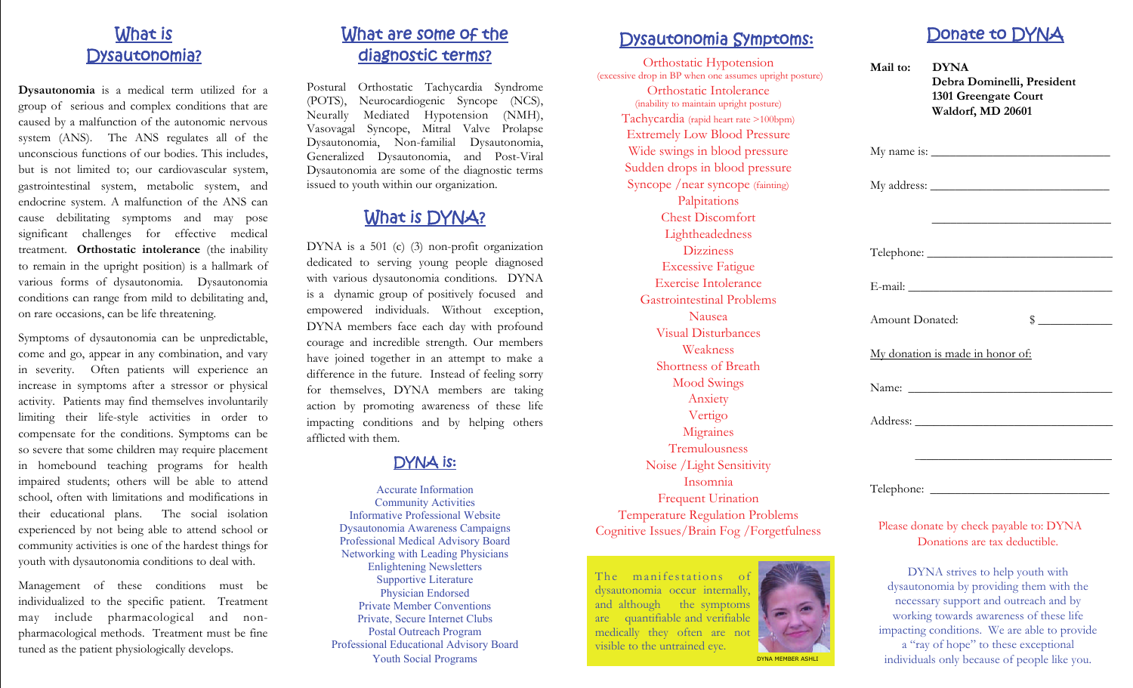## What is Dysautonomia?

**Dysautonomia** is a medical term utilized for a group of serious and complex conditions that are caused by a malfunction of the autonomic nervous system (ANS). The ANS regulates all of the unconscious functions of our bodies. This includes, but is not limited to; our cardiovascular system, gastrointestinal system, metabolic system, and endocrine system. A malfunction of the ANS can cause debilitating symptoms and may pose significant challenges for effective medical treatment. **Orthostatic intolerance** (the inability to remain in the upright position) is a hallmark of various forms of dysautonomia. Dysautonomia conditions can range from mild to debilitating and, on rare occasions, can be life threatening.

Symptoms of dysautonomia can be unpredictable, come and go, appear in any combination, and vary in severity. Often patients will experience an increase in symptoms after a stressor or physical activity. Patients may find themselves involuntarily limiting their life-style activities in order to compensate for the conditions. Symptoms can be so severe that some children may require placement in homebound teaching programs for health impaired students; others will be able to attend school, often with limitations and modifications in their educational plans. The social isolation experienced by not being able to attend school or community activities is one of the hardest things for youth with dysautonomia conditions to deal with.

Management of these conditions must be individualized to the specific patient. Treatment may include pharmacological and nonpharmacological methods. Treatment must be fine tuned as the patient physiologically develops.

# What are some of the diagnostic terms?

Postural Orthostatic Tachycardia Syndrome (POTS), Neurocardiogenic Syncope (NCS), Neurally Mediated Hypotension (NMH), Vasovagal Syncope, Mitral Valve Prolapse Dysautonomia, Non-familial Dysautonomia, Generalized Dysautonomia, and Post-Viral Dysautonomia are some of the diagnostic terms issued to youth within our organization.

# What is DYNA?

DYNA is a 501 (c) (3) non-profit organization dedicated to serving young people diagnosed with various dysautonomia conditions. DYNA is a dynamic group of positively focused and empowered individuals. Without exception, DYNA members face each day with profound courage and incredible strength. Our members have joined together in an attempt to make a difference in the future. Instead of feeling sorry for themselves, DYNA members are taking action by promoting awareness of these life impacting conditions and by helping others afflicted with them.

### DYNA is:

Accurate Information Community Activities Informative Professional Website Dysautonomia Awareness Campaigns Professional Medical Advisory Board Networking with Leading Physicians Enlightening Newsletters Supportive Literature Physician Endorsed Private Member Conventions Private, Secure Internet Clubs Postal Outreach Program Professional Educational Advisory Board Youth Social Programs

### Dysautonomia Symptoms:

Orthostatic Hypotension (excessive drop in BP when one assumes upright posture) Orthostatic Intolerance (inability to maintain upright posture) Tachycardia (rapid heart rate >100bpm) Extremely Low Blood Pressure Wide swings in blood pressure Sudden drops in blood pressure Syncope /near syncope (fainting) Palpitations Chest Discomfort Lightheadedness Dizziness Excessive Fatigue Exercise Intolerance Gastrointestinal Problems Nausea Visual Disturbances Weakness Shortness of Breath Mood Swings Anxiety Vertigo **Migraines** Tremulousness Noise /Light Sensitivity Insomnia Frequent Urination Temperature Regulation Problems Cognitive Issues/Brain Fog /Forgetfulness

The manifestations of dysautonomia occur internally, and although the symptoms are quantifiable and verifiable medically they often are not visible to the untrained eye. DYNA MEMBER ASHLI



| Mail to:        | <b>DYNA</b><br>Debra Dominelli, President<br>1301 Greengate Court<br>Waldorf, MD 20601                                                                                                                                                                                                                                                              |
|-----------------|-----------------------------------------------------------------------------------------------------------------------------------------------------------------------------------------------------------------------------------------------------------------------------------------------------------------------------------------------------|
|                 |                                                                                                                                                                                                                                                                                                                                                     |
|                 |                                                                                                                                                                                                                                                                                                                                                     |
|                 | <u> 1980 - Jan James James, margin eta biztanleria (h. 1980).</u>                                                                                                                                                                                                                                                                                   |
|                 |                                                                                                                                                                                                                                                                                                                                                     |
|                 | E-mail: North Communication of the Communication of the Communication of the Communication of the Communication of the Communication of the Communication of the Communication of the Communication of the Communication of th                                                                                                                      |
| Amount Donated: | $\begin{picture}(20,20) \put(0,0){\line(1,0){10}} \put(15,0){\line(1,0){10}} \put(15,0){\line(1,0){10}} \put(15,0){\line(1,0){10}} \put(15,0){\line(1,0){10}} \put(15,0){\line(1,0){10}} \put(15,0){\line(1,0){10}} \put(15,0){\line(1,0){10}} \put(15,0){\line(1,0){10}} \put(15,0){\line(1,0){10}} \put(15,0){\line(1,0){10}} \put(15,0){\line(1$ |
|                 | My donation is made in honor of:                                                                                                                                                                                                                                                                                                                    |
|                 |                                                                                                                                                                                                                                                                                                                                                     |
|                 |                                                                                                                                                                                                                                                                                                                                                     |
|                 |                                                                                                                                                                                                                                                                                                                                                     |
|                 |                                                                                                                                                                                                                                                                                                                                                     |
|                 | Please donate by check payable to: DYNA                                                                                                                                                                                                                                                                                                             |
|                 | Donations are tax deductible.                                                                                                                                                                                                                                                                                                                       |
|                 | DYNA strives to help youth with                                                                                                                                                                                                                                                                                                                     |
|                 | dysautonomia by providing them with the                                                                                                                                                                                                                                                                                                             |
|                 | necessary support and outreach and by<br>working towards awareness of these life                                                                                                                                                                                                                                                                    |
|                 | impacting conditions. We are able to provide<br>a "ray of hope" to these exceptional                                                                                                                                                                                                                                                                |